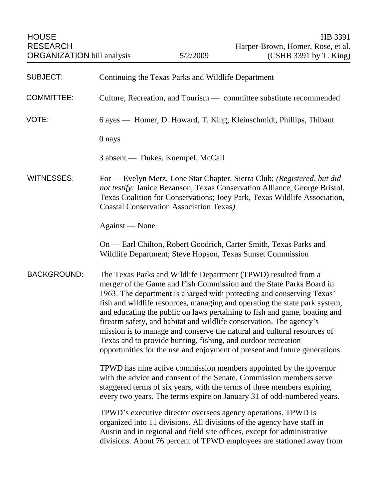HOUSE HB 3391 RESEARCH Harper-Brown, Homer, Rose, et al. ORGANIZATION bill analysis 5/2/2009 (CSHB 3391 by T. King) SUBJECT: Continuing the Texas Parks and Wildlife Department COMMITTEE: Culture, Recreation, and Tourism — committee substitute recommended VOTE: 6 ayes — Homer, D. Howard, T. King, Kleinschmidt, Phillips, Thibaut 0 nays 3 absent — Dukes, Kuempel, McCall WITNESSES: For — Evelyn Merz, Lone Star Chapter, Sierra Club; *(Registered, but did not testify:* Janice Bezanson, Texas Conservation Alliance, George Bristol, Texas Coalition for Conservations; Joey Park, Texas Wildlife Association, Coastal Conservation Association Texas*)* Against — None On — Earl Chilton, Robert Goodrich, Carter Smith, Texas Parks and Wildlife Department; Steve Hopson, Texas Sunset Commission BACKGROUND: The Texas Parks and Wildlife Department (TPWD) resulted from a merger of the Game and Fish Commission and the State Parks Board in 1963. The department is charged with protecting and conserving Texas' fish and wildlife resources, managing and operating the state park system, and educating the public on laws pertaining to fish and game, boating and firearm safety, and habitat and wildlife conservation. The agency's mission is to manage and conserve the natural and cultural resources of Texas and to provide hunting, fishing, and outdoor recreation opportunities for the use and enjoyment of present and future generations. TPWD has nine active commission members appointed by the governor with the advice and consent of the Senate. Commission members serve staggered terms of six years, with the terms of three members expiring every two years. The terms expire on January 31 of odd-numbered years. TPWD's executive director oversees agency operations. TPWD is organized into 11 divisions. All divisions of the agency have staff in Austin and in regional and field site offices, except for administrative divisions. About 76 percent of TPWD employees are stationed away from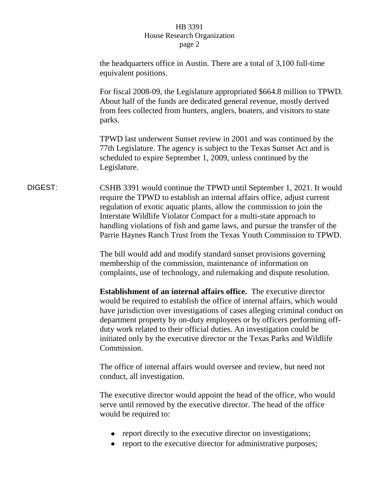|         | the headquarters office in Austin. There are a total of 3,100 full-time<br>equivalent positions.                                                                                                                                                                                                                                                                                                                                                                                       |
|---------|----------------------------------------------------------------------------------------------------------------------------------------------------------------------------------------------------------------------------------------------------------------------------------------------------------------------------------------------------------------------------------------------------------------------------------------------------------------------------------------|
|         | For fiscal 2008-09, the Legislature appropriated \$664.8 million to TPWD.<br>About half of the funds are dedicated general revenue, mostly derived<br>from fees collected from hunters, anglers, boaters, and visitors to state<br>parks.                                                                                                                                                                                                                                              |
|         | TPWD last underwent Sunset review in 2001 and was continued by the<br>77th Legislature. The agency is subject to the Texas Sunset Act and is<br>scheduled to expire September 1, 2009, unless continued by the<br>Legislature.                                                                                                                                                                                                                                                         |
| DIGEST: | CSHB 3391 would continue the TPWD until September 1, 2021. It would<br>require the TPWD to establish an internal affairs office, adjust current<br>regulation of exotic aquatic plants, allow the commission to join the<br>Interstate Wildlife Violator Compact for a multi-state approach to<br>handling violations of fish and game laws, and pursue the transfer of the<br>Parrie Haynes Ranch Trust from the Texas Youth Commission to TPWD.                                      |
|         | The bill would add and modify standard sunset provisions governing<br>membership of the commission, maintenance of information on<br>complaints, use of technology, and rulemaking and dispute resolution.                                                                                                                                                                                                                                                                             |
|         | <b>Establishment of an internal affairs office.</b> The executive director<br>would be required to establish the office of internal affairs, which would<br>have jurisdiction over investigations of cases alleging criminal conduct on<br>department property by on-duty employees or by officers performing off-<br>duty work related to their official duties. An investigation could be<br>initiated only by the executive director or the Texas Parks and Wildlife<br>Commission. |
|         | The office of internal affairs would oversee and review, but need not<br>conduct, all investigation.                                                                                                                                                                                                                                                                                                                                                                                   |
|         | The executive director would appoint the head of the office, who would<br>serve until removed by the executive director. The head of the office<br>would be required to:                                                                                                                                                                                                                                                                                                               |
|         | report directly to the executive director on investigations;<br>report to the executive director for administrative purposes;                                                                                                                                                                                                                                                                                                                                                          |
|         |                                                                                                                                                                                                                                                                                                                                                                                                                                                                                        |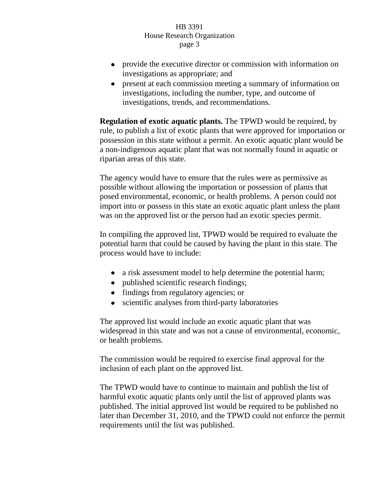- provide the executive director or commission with information on investigations as appropriate; and
- present at each commission meeting a summary of information on investigations, including the number, type, and outcome of investigations, trends, and recommendations.

**Regulation of exotic aquatic plants.** The TPWD would be required, by rule, to publish a list of exotic plants that were approved for importation or possession in this state without a permit. An exotic aquatic plant would be a non-indigenous aquatic plant that was not normally found in aquatic or riparian areas of this state.

The agency would have to ensure that the rules were as permissive as possible without allowing the importation or possession of plants that posed environmental, economic, or health problems. A person could not import into or possess in this state an exotic aquatic plant unless the plant was on the approved list or the person had an exotic species permit.

In compiling the approved list, TPWD would be required to evaluate the potential harm that could be caused by having the plant in this state. The process would have to include:

- a risk assessment model to help determine the potential harm;
- published scientific research findings;
- findings from regulatory agencies; or
- scientific analyses from third-party laboratories

The approved list would include an exotic aquatic plant that was widespread in this state and was not a cause of environmental, economic, or health problems.

The commission would be required to exercise final approval for the inclusion of each plant on the approved list.

The TPWD would have to continue to maintain and publish the list of harmful exotic aquatic plants only until the list of approved plants was published. The initial approved list would be required to be published no later than December 31, 2010, and the TPWD could not enforce the permit requirements until the list was published.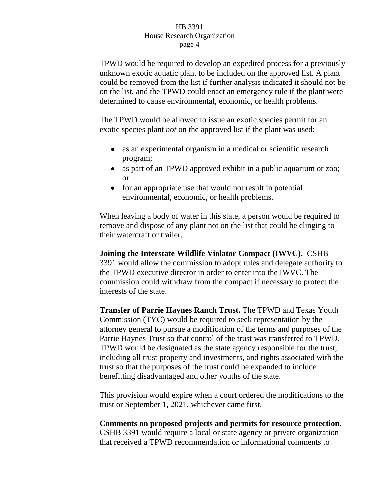TPWD would be required to develop an expedited process for a previously unknown exotic aquatic plant to be included on the approved list. A plant could be removed from the list if further analysis indicated it should not be on the list, and the TPWD could enact an emergency rule if the plant were determined to cause environmental, economic, or health problems.

The TPWD would be allowed to issue an exotic species permit for an exotic species plant *not* on the approved list if the plant was used:

- as an experimental organism in a medical or scientific research program;
- as part of an TPWD approved exhibit in a public aquarium or zoo; or
- for an appropriate use that would not result in potential environmental, economic, or health problems.

When leaving a body of water in this state, a person would be required to remove and dispose of any plant not on the list that could be clinging to their watercraft or trailer.

**Joining the Interstate Wildlife Violator Compact (IWVC).** CSHB 3391 would allow the commission to adopt rules and delegate authority to the TPWD executive director in order to enter into the IWVC. The commission could withdraw from the compact if necessary to protect the interests of the state.

**Transfer of Parrie Haynes Ranch Trust.** The TPWD and Texas Youth Commission (TYC) would be required to seek representation by the attorney general to pursue a modification of the terms and purposes of the Parrie Haynes Trust so that control of the trust was transferred to TPWD. TPWD would be designated as the state agency responsible for the trust, including all trust property and investments, and rights associated with the trust so that the purposes of the trust could be expanded to include benefitting disadvantaged and other youths of the state.

This provision would expire when a court ordered the modifications to the trust or September 1, 2021, whichever came first.

**Comments on proposed projects and permits for resource protection.**  CSHB 3391 would require a local or state agency or private organization that received a TPWD recommendation or informational comments to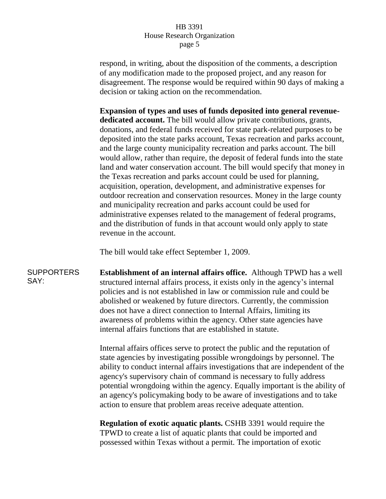respond, in writing, about the disposition of the comments, a description of any modification made to the proposed project, and any reason for disagreement. The response would be required within 90 days of making a decision or taking action on the recommendation.

**Expansion of types and uses of funds deposited into general revenuededicated account.** The bill would allow private contributions, grants, donations, and federal funds received for state park-related purposes to be deposited into the state parks account, Texas recreation and parks account, and the large county municipality recreation and parks account. The bill would allow, rather than require, the deposit of federal funds into the state land and water conservation account. The bill would specify that money in the Texas recreation and parks account could be used for planning, acquisition, operation, development, and administrative expenses for outdoor recreation and conservation resources. Money in the large county and municipality recreation and parks account could be used for administrative expenses related to the management of federal programs, and the distribution of funds in that account would only apply to state revenue in the account.

The bill would take effect September 1, 2009.

**SUPPORTERS** SAY: **Establishment of an internal affairs office.** Although TPWD has a well structured internal affairs process, it exists only in the agency's internal policies and is not established in law or commission rule and could be abolished or weakened by future directors. Currently, the commission does not have a direct connection to Internal Affairs, limiting its awareness of problems within the agency. Other state agencies have internal affairs functions that are established in statute.

> Internal affairs offices serve to protect the public and the reputation of state agencies by investigating possible wrongdoings by personnel. The ability to conduct internal affairs investigations that are independent of the agency's supervisory chain of command is necessary to fully address potential wrongdoing within the agency. Equally important is the ability of an agency's policymaking body to be aware of investigations and to take action to ensure that problem areas receive adequate attention.

**Regulation of exotic aquatic plants.** CSHB 3391 would require the TPWD to create a list of aquatic plants that could be imported and possessed within Texas without a permit. The importation of exotic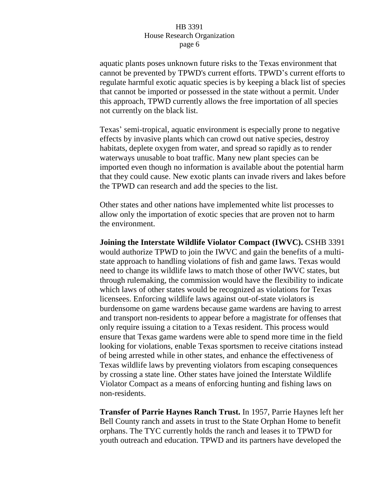aquatic plants poses unknown future risks to the Texas environment that cannot be prevented by TPWD's current efforts. TPWD's current efforts to regulate harmful exotic aquatic species is by keeping a black list of species that cannot be imported or possessed in the state without a permit. Under this approach, TPWD currently allows the free importation of all species not currently on the black list.

Texas' semi-tropical, aquatic environment is especially prone to negative effects by invasive plants which can crowd out native species, destroy habitats, deplete oxygen from water, and spread so rapidly as to render waterways unusable to boat traffic. Many new plant species can be imported even though no information is available about the potential harm that they could cause. New exotic plants can invade rivers and lakes before the TPWD can research and add the species to the list.

Other states and other nations have implemented white list processes to allow only the importation of exotic species that are proven not to harm the environment.

**Joining the Interstate Wildlife Violator Compact (IWVC).** CSHB 3391 would authorize TPWD to join the IWVC and gain the benefits of a multistate approach to handling violations of fish and game laws. Texas would need to change its wildlife laws to match those of other IWVC states, but through rulemaking, the commission would have the flexibility to indicate which laws of other states would be recognized as violations for Texas licensees. Enforcing wildlife laws against out-of-state violators is burdensome on game wardens because game wardens are having to arrest and transport non-residents to appear before a magistrate for offenses that only require issuing a citation to a Texas resident. This process would ensure that Texas game wardens were able to spend more time in the field looking for violations, enable Texas sportsmen to receive citations instead of being arrested while in other states, and enhance the effectiveness of Texas wildlife laws by preventing violators from escaping consequences by crossing a state line. Other states have joined the Interstate Wildlife Violator Compact as a means of enforcing hunting and fishing laws on non-residents.

**Transfer of Parrie Haynes Ranch Trust.** In 1957, Parrie Haynes left her Bell County ranch and assets in trust to the State Orphan Home to benefit orphans. The TYC currently holds the ranch and leases it to TPWD for youth outreach and education. TPWD and its partners have developed the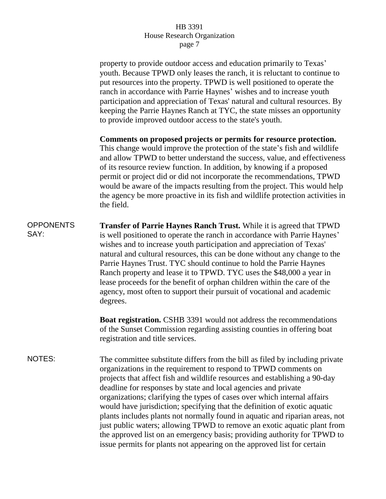property to provide outdoor access and education primarily to Texas' youth. Because TPWD only leases the ranch, it is reluctant to continue to put resources into the property. TPWD is well positioned to operate the ranch in accordance with Parrie Haynes' wishes and to increase youth participation and appreciation of Texas' natural and cultural resources. By keeping the Parrie Haynes Ranch at TYC, the state misses an opportunity to provide improved outdoor access to the state's youth.

**Comments on proposed projects or permits for resource protection.**  This change would improve the protection of the state's fish and wildlife and allow TPWD to better understand the success, value, and effectiveness of its resource review function. In addition, by knowing if a proposed permit or project did or did not incorporate the recommendations, TPWD would be aware of the impacts resulting from the project. This would help the agency be more proactive in its fish and wildlife protection activities in the field.

**OPPONENTS** SAY: **Transfer of Parrie Haynes Ranch Trust.** While it is agreed that TPWD is well positioned to operate the ranch in accordance with Parrie Haynes' wishes and to increase youth participation and appreciation of Texas' natural and cultural resources, this can be done without any change to the Parrie Haynes Trust. TYC should continue to hold the Parrie Haynes Ranch property and lease it to TPWD. TYC uses the \$48,000 a year in lease proceeds for the benefit of orphan children within the care of the agency, most often to support their pursuit of vocational and academic degrees.

> **Boat registration.** CSHB 3391 would not address the recommendations of the Sunset Commission regarding assisting counties in offering boat registration and title services.

NOTES: The committee substitute differs from the bill as filed by including private organizations in the requirement to respond to TPWD comments on projects that affect fish and wildlife resources and establishing a 90-day deadline for responses by state and local agencies and private organizations; clarifying the types of cases over which internal affairs would have jurisdiction; specifying that the definition of exotic aquatic plants includes plants not normally found in aquatic and riparian areas, not just public waters; allowing TPWD to remove an exotic aquatic plant from the approved list on an emergency basis; providing authority for TPWD to issue permits for plants not appearing on the approved list for certain